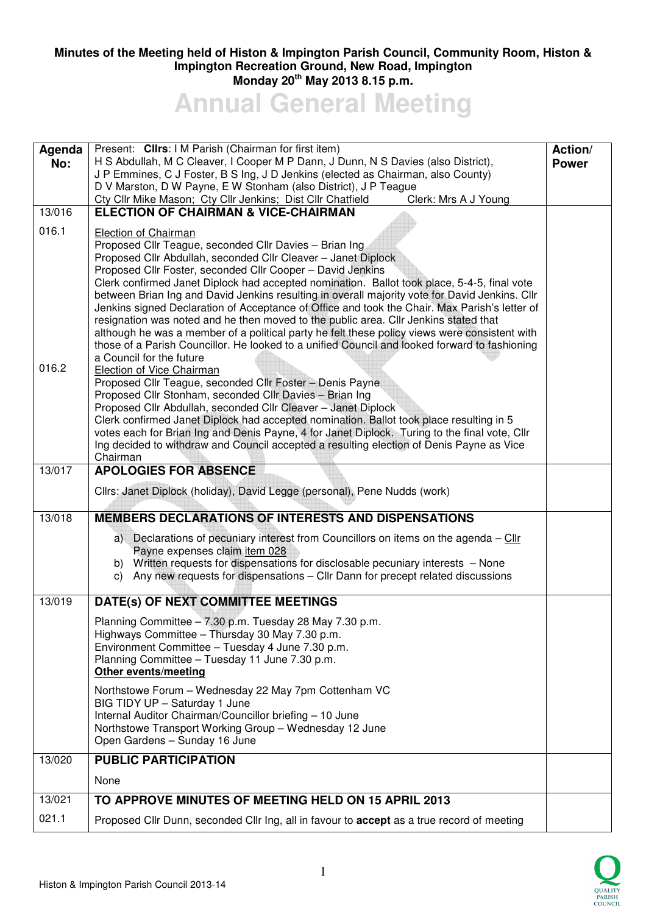## **Minutes of the Meeting held of Histon & Impington Parish Council, Community Room, Histon & Impington Recreation Ground, New Road, Impington Monday 20th May 2013 8.15 p.m.**

**Annual General Meeting** 

| Agenda<br>No:  | Present: Clirs: I M Parish (Chairman for first item)<br>H S Abdullah, M C Cleaver, I Cooper M P Dann, J Dunn, N S Davies (also District),<br>J P Emmines, C J Foster, B S Ing, J D Jenkins (elected as Chairman, also County)<br>D V Marston, D W Payne, E W Stonham (also District), J P Teague<br>Cty Cllr Mike Mason; Cty Cllr Jenkins; Dist Cllr Chatfield<br>Clerk: Mrs A J Young                                                                                                                                                                                                                                                                                                                                                                                                                                                                                                                                                                                                                                                                                                                                                                                                                                                                                                                                                                         |  |
|----------------|----------------------------------------------------------------------------------------------------------------------------------------------------------------------------------------------------------------------------------------------------------------------------------------------------------------------------------------------------------------------------------------------------------------------------------------------------------------------------------------------------------------------------------------------------------------------------------------------------------------------------------------------------------------------------------------------------------------------------------------------------------------------------------------------------------------------------------------------------------------------------------------------------------------------------------------------------------------------------------------------------------------------------------------------------------------------------------------------------------------------------------------------------------------------------------------------------------------------------------------------------------------------------------------------------------------------------------------------------------------|--|
| 13/016         | <b>ELECTION OF CHAIRMAN &amp; VICE-CHAIRMAN</b>                                                                                                                                                                                                                                                                                                                                                                                                                                                                                                                                                                                                                                                                                                                                                                                                                                                                                                                                                                                                                                                                                                                                                                                                                                                                                                                |  |
| 016.1<br>016.2 | Election of Chairman<br>Proposed Cllr Teague, seconded Cllr Davies - Brian Ing<br>Proposed Cllr Abdullah, seconded Cllr Cleaver - Janet Diplock<br>Proposed Cllr Foster, seconded Cllr Cooper - David Jenkins<br>Clerk confirmed Janet Diplock had accepted nomination. Ballot took place, 5-4-5, final vote<br>between Brian Ing and David Jenkins resulting in overall majority vote for David Jenkins. Cllr<br>Jenkins signed Declaration of Acceptance of Office and took the Chair. Max Parish's letter of<br>resignation was noted and he then moved to the public area. Cllr Jenkins stated that<br>although he was a member of a political party he felt these policy views were consistent with<br>those of a Parish Councillor. He looked to a unified Council and looked forward to fashioning<br>a Council for the future<br>Election of Vice Chairman<br>Proposed Cllr Teague, seconded Cllr Foster - Denis Payne<br>Proposed Cllr Stonham, seconded Cllr Davies - Brian Ing<br>Proposed Cllr Abdullah, seconded Cllr Cleaver - Janet Diplock<br>Clerk confirmed Janet Diplock had accepted nomination. Ballot took place resulting in 5<br>votes each for Brian Ing and Denis Payne, 4 for Janet Diplock. Turing to the final vote, Cllr<br>Ing decided to withdraw and Council accepted a resulting election of Denis Payne as Vice<br>Chairman |  |
| 13/017         | <b>APOLOGIES FOR ABSENCE</b>                                                                                                                                                                                                                                                                                                                                                                                                                                                                                                                                                                                                                                                                                                                                                                                                                                                                                                                                                                                                                                                                                                                                                                                                                                                                                                                                   |  |
|                | Cllrs: Janet Diplock (holiday), David Legge (personal), Pene Nudds (work)                                                                                                                                                                                                                                                                                                                                                                                                                                                                                                                                                                                                                                                                                                                                                                                                                                                                                                                                                                                                                                                                                                                                                                                                                                                                                      |  |
| 13/018         | <b>MEMBERS DECLARATIONS OF INTERESTS AND DISPENSATIONS</b>                                                                                                                                                                                                                                                                                                                                                                                                                                                                                                                                                                                                                                                                                                                                                                                                                                                                                                                                                                                                                                                                                                                                                                                                                                                                                                     |  |
|                | a) Declarations of pecuniary interest from Councillors on items on the agenda - Cllr<br>Payne expenses claim item 028<br>b) Written requests for dispensations for disclosable pecuniary interests - None<br>Any new requests for dispensations - Cllr Dann for precept related discussions<br>C)                                                                                                                                                                                                                                                                                                                                                                                                                                                                                                                                                                                                                                                                                                                                                                                                                                                                                                                                                                                                                                                              |  |
| 13/019         | DATE(s) OF NEXT COMMITTEE MEETINGS                                                                                                                                                                                                                                                                                                                                                                                                                                                                                                                                                                                                                                                                                                                                                                                                                                                                                                                                                                                                                                                                                                                                                                                                                                                                                                                             |  |
|                | Planning Committee - 7.30 p.m. Tuesday 28 May 7.30 p.m.<br>Highways Committee - Thursday 30 May 7.30 p.m.<br>Environment Committee - Tuesday 4 June 7.30 p.m.<br>Planning Committee - Tuesday 11 June 7.30 p.m.<br>Other events/meeting<br>Northstowe Forum - Wednesday 22 May 7pm Cottenham VC<br>BIG TIDY UP - Saturday 1 June                                                                                                                                                                                                                                                                                                                                                                                                                                                                                                                                                                                                                                                                                                                                                                                                                                                                                                                                                                                                                               |  |
|                | Internal Auditor Chairman/Councillor briefing - 10 June<br>Northstowe Transport Working Group - Wednesday 12 June<br>Open Gardens - Sunday 16 June                                                                                                                                                                                                                                                                                                                                                                                                                                                                                                                                                                                                                                                                                                                                                                                                                                                                                                                                                                                                                                                                                                                                                                                                             |  |
| 13/020         | <b>PUBLIC PARTICIPATION</b>                                                                                                                                                                                                                                                                                                                                                                                                                                                                                                                                                                                                                                                                                                                                                                                                                                                                                                                                                                                                                                                                                                                                                                                                                                                                                                                                    |  |
|                | None                                                                                                                                                                                                                                                                                                                                                                                                                                                                                                                                                                                                                                                                                                                                                                                                                                                                                                                                                                                                                                                                                                                                                                                                                                                                                                                                                           |  |
| 13/021         | TO APPROVE MINUTES OF MEETING HELD ON 15 APRIL 2013                                                                                                                                                                                                                                                                                                                                                                                                                                                                                                                                                                                                                                                                                                                                                                                                                                                                                                                                                                                                                                                                                                                                                                                                                                                                                                            |  |
| 021.1          | Proposed Cllr Dunn, seconded Cllr Ing, all in favour to <b>accept</b> as a true record of meeting                                                                                                                                                                                                                                                                                                                                                                                                                                                                                                                                                                                                                                                                                                                                                                                                                                                                                                                                                                                                                                                                                                                                                                                                                                                              |  |

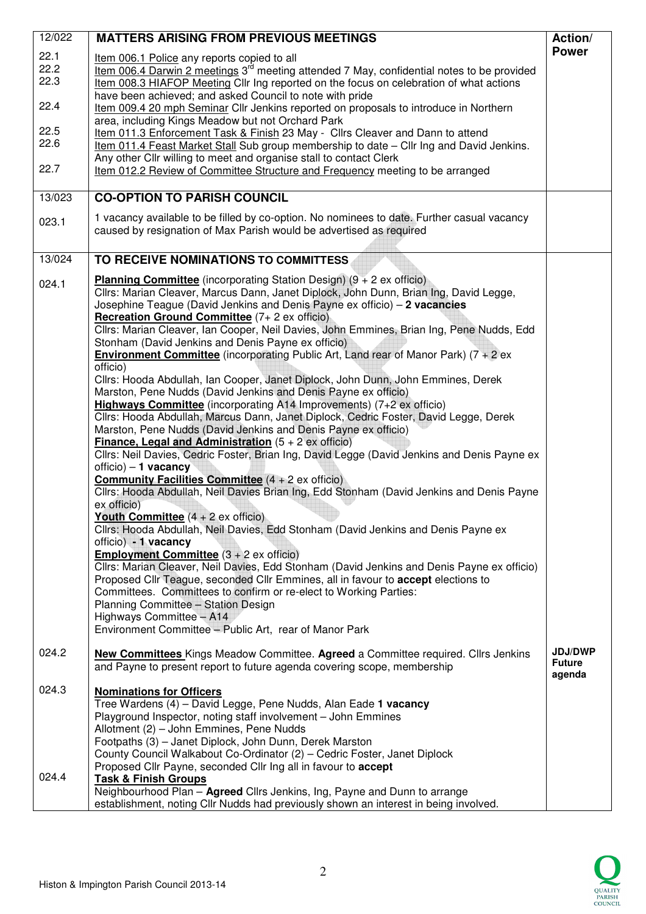| 12/022               | <b>MATTERS ARISING FROM PREVIOUS MEETINGS</b>                                                                                                                                                                                                                                                                                                                                                                                                                                                                                                                                                                                                                                                                                                                                                          | Action/                                   |
|----------------------|--------------------------------------------------------------------------------------------------------------------------------------------------------------------------------------------------------------------------------------------------------------------------------------------------------------------------------------------------------------------------------------------------------------------------------------------------------------------------------------------------------------------------------------------------------------------------------------------------------------------------------------------------------------------------------------------------------------------------------------------------------------------------------------------------------|-------------------------------------------|
| 22.1<br>22.2<br>22.3 | Item 006.1 Police any reports copied to all<br>Item 006.4 Darwin 2 meetings 3 <sup>rd</sup> meeting attended 7 May, confidential notes to be provided<br>Item 008.3 HIAFOP Meeting Cllr Ing reported on the focus on celebration of what actions                                                                                                                                                                                                                                                                                                                                                                                                                                                                                                                                                       | <b>Power</b>                              |
| 22.4                 | have been achieved; and asked Council to note with pride<br>Item 009.4 20 mph Seminar Cllr Jenkins reported on proposals to introduce in Northern<br>area, including Kings Meadow but not Orchard Park                                                                                                                                                                                                                                                                                                                                                                                                                                                                                                                                                                                                 |                                           |
| 22.5<br>22.6         | Item 011.3 Enforcement Task & Finish 23 May - Cllrs Cleaver and Dann to attend<br>Item 011.4 Feast Market Stall Sub group membership to date - Cllr Ing and David Jenkins.<br>Any other Cllr willing to meet and organise stall to contact Clerk                                                                                                                                                                                                                                                                                                                                                                                                                                                                                                                                                       |                                           |
| 22.7                 | Item 012.2 Review of Committee Structure and Frequency meeting to be arranged                                                                                                                                                                                                                                                                                                                                                                                                                                                                                                                                                                                                                                                                                                                          |                                           |
| 13/023               | <b>CO-OPTION TO PARISH COUNCIL</b>                                                                                                                                                                                                                                                                                                                                                                                                                                                                                                                                                                                                                                                                                                                                                                     |                                           |
| 023.1                | 1 vacancy available to be filled by co-option. No nominees to date. Further casual vacancy<br>caused by resignation of Max Parish would be advertised as required                                                                                                                                                                                                                                                                                                                                                                                                                                                                                                                                                                                                                                      |                                           |
| 13/024               | TO RECEIVE NOMINATIONS TO COMMITTESS                                                                                                                                                                                                                                                                                                                                                                                                                                                                                                                                                                                                                                                                                                                                                                   |                                           |
| 024.1                | <b>Planning Committee</b> (incorporating Station Design) $(9 + 2 \text{ ex of } 100)$<br>Cllrs: Marian Cleaver, Marcus Dann, Janet Diplock, John Dunn, Brian Ing, David Legge,<br>Josephine Teague (David Jenkins and Denis Payne ex officio) - 2 vacancies<br>Recreation Ground Committee (7+2 ex officio)<br>Cllrs: Marian Cleaver, Ian Cooper, Neil Davies, John Emmines, Brian Ing, Pene Nudds, Edd<br>Stonham (David Jenkins and Denis Payne ex officio)<br><b>Environment Committee</b> (incorporating Public Art, Land rear of Manor Park) $(7 + 2 ex)$                                                                                                                                                                                                                                         |                                           |
|                      | officio)<br>Cllrs: Hooda Abdullah, Ian Cooper, Janet Diplock, John Dunn, John Emmines, Derek<br>Marston, Pene Nudds (David Jenkins and Denis Payne ex officio)<br>Highways Committee (incorporating A14 Improvements) (7+2 ex officio)<br>Cllrs: Hooda Abdullah, Marcus Dann, Janet Diplock, Cedric Foster, David Legge, Derek<br>Marston, Pene Nudds (David Jenkins and Denis Payne ex officio)<br><b>Finance, Legal and Administration</b> $(5 + 2 \text{ ex of.})$<br>Cllrs: Neil Davies, Cedric Foster, Brian Ing, David Legge (David Jenkins and Denis Payne ex                                                                                                                                                                                                                                   |                                           |
|                      | $officio$ – 1 vacancy<br><b>Community Facilities Committee</b> $(4 + 2 \text{ ex of.})$<br>Cllrs: Hooda Abdullah, Neil Davies Brian Ing, Edd Stonham (David Jenkins and Denis Payne<br>ex officio)<br>Youth Committee (4 + 2 ex officio)<br>Cllrs: Hooda Abdullah, Neil Davies, Edd Stonham (David Jenkins and Denis Payne ex<br>officio) - 1 vacancy<br><b>Employment Committee</b> $(3 + 2 \text{ ex of } 100)$<br>Cllrs: Marian Cleaver, Neil Davies, Edd Stonham (David Jenkins and Denis Payne ex officio)<br>Proposed Cllr Teague, seconded Cllr Emmines, all in favour to accept elections to<br>Committees. Committees to confirm or re-elect to Working Parties:<br>Planning Committee - Station Design<br>Highways Committee - A14<br>Environment Committee - Public Art, rear of Manor Park |                                           |
| 024.2                | New Committees Kings Meadow Committee. Agreed a Committee required. Cllrs Jenkins<br>and Payne to present report to future agenda covering scope, membership                                                                                                                                                                                                                                                                                                                                                                                                                                                                                                                                                                                                                                           | <b>JDJ/DWP</b><br><b>Future</b><br>agenda |
| 024.3                | <b>Nominations for Officers</b><br>Tree Wardens (4) - David Legge, Pene Nudds, Alan Eade 1 vacancy<br>Playground Inspector, noting staff involvement - John Emmines<br>Allotment (2) - John Emmines, Pene Nudds<br>Footpaths (3) - Janet Diplock, John Dunn, Derek Marston<br>County Council Walkabout Co-Ordinator (2) - Cedric Foster, Janet Diplock<br>Proposed Cllr Payne, seconded Cllr Ing all in favour to accept                                                                                                                                                                                                                                                                                                                                                                               |                                           |
| 024.4                | <b>Task &amp; Finish Groups</b><br>Neighbourhood Plan - Agreed Cllrs Jenkins, Ing, Payne and Dunn to arrange<br>establishment, noting Cllr Nudds had previously shown an interest in being involved.                                                                                                                                                                                                                                                                                                                                                                                                                                                                                                                                                                                                   |                                           |

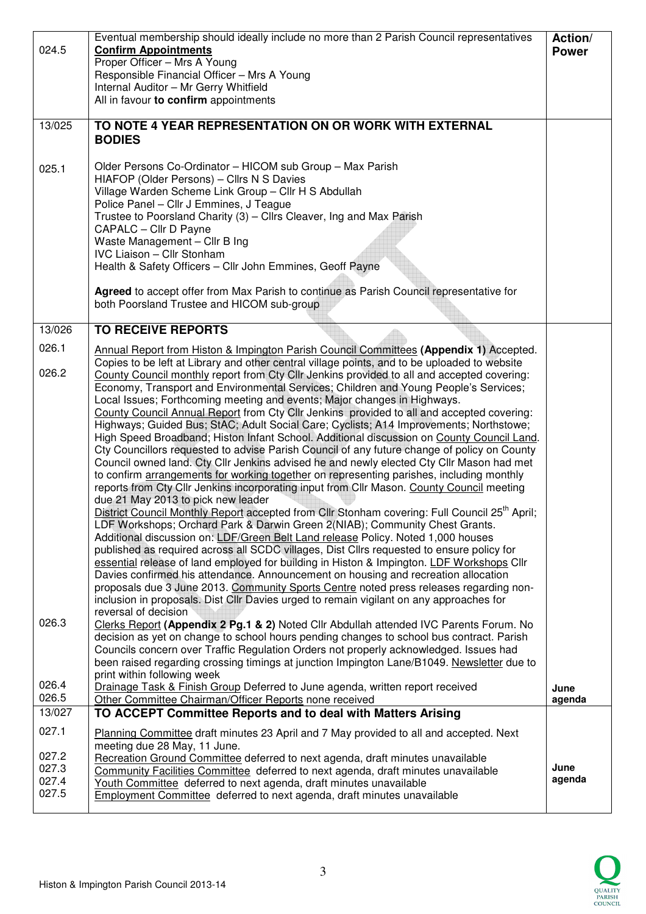| 024.5          | Eventual membership should ideally include no more than 2 Parish Council representatives<br><b>Confirm Appointments</b>                                                                | Action/<br><b>Power</b> |
|----------------|----------------------------------------------------------------------------------------------------------------------------------------------------------------------------------------|-------------------------|
|                | Proper Officer - Mrs A Young                                                                                                                                                           |                         |
|                | Responsible Financial Officer - Mrs A Young<br>Internal Auditor - Mr Gerry Whitfield                                                                                                   |                         |
|                | All in favour to confirm appointments                                                                                                                                                  |                         |
| 13/025         | TO NOTE 4 YEAR REPRESENTATION ON OR WORK WITH EXTERNAL                                                                                                                                 |                         |
|                | <b>BODIES</b>                                                                                                                                                                          |                         |
| 025.1          | Older Persons Co-Ordinator - HICOM sub Group - Max Parish                                                                                                                              |                         |
|                | HIAFOP (Older Persons) - Cllrs N S Davies                                                                                                                                              |                         |
|                | Village Warden Scheme Link Group - Cllr H S Abdullah<br>Police Panel - Cllr J Emmines, J Teague                                                                                        |                         |
|                | Trustee to Poorsland Charity (3) - Cllrs Cleaver, Ing and Max Parish                                                                                                                   |                         |
|                | CAPALC - Cllr D Payne<br>Waste Management - Cllr B Ing                                                                                                                                 |                         |
|                | <b>IVC Liaison - Cllr Stonham</b>                                                                                                                                                      |                         |
|                | Health & Safety Officers - Cllr John Emmines, Geoff Payne                                                                                                                              |                         |
|                | Agreed to accept offer from Max Parish to continue as Parish Council representative for                                                                                                |                         |
|                | both Poorsland Trustee and HICOM sub-group                                                                                                                                             |                         |
| 13/026         | <b>TO RECEIVE REPORTS</b>                                                                                                                                                              |                         |
| 026.1          | Annual Report from Histon & Impington Parish Council Committees (Appendix 1) Accepted.<br>Copies to be left at Library and other central village points, and to be uploaded to website |                         |
| 026.2          | County Council monthly report from Cty Cllr Jenkins provided to all and accepted covering:                                                                                             |                         |
|                | Economy, Transport and Environmental Services; Children and Young People's Services;<br>Local Issues; Forthcoming meeting and events; Major changes in Highways.                       |                         |
|                | County Council Annual Report from Cty Cllr Jenkins provided to all and accepted covering:                                                                                              |                         |
|                | Highways; Guided Bus; StAC; Adult Social Care; Cyclists; A14 Improvements; Northstowe;<br>High Speed Broadband; Histon Infant School. Additional discussion on County Council Land.    |                         |
|                | Cty Councillors requested to advise Parish Council of any future change of policy on County                                                                                            |                         |
|                | Council owned land. Cty Cllr Jenkins advised he and newly elected Cty Cllr Mason had met<br>to confirm arrangements for working together on representing parishes, including monthly   |                         |
|                | reports from Cty Cllr Jenkins incorporating input from Cllr Mason. County Council meeting                                                                                              |                         |
|                | due 21 May 2013 to pick new leader<br>District Council Monthly Report accepted from Cllr Stonham covering: Full Council 25 <sup>th</sup> April;                                        |                         |
|                | LDF Workshops; Orchard Park & Darwin Green 2(NIAB); Community Chest Grants.                                                                                                            |                         |
|                | Additional discussion on: LDF/Green Belt Land release Policy. Noted 1,000 houses<br>published as required across all SCDC villages, Dist Cllrs requested to ensure policy for          |                         |
|                | essential release of land employed for building in Histon & Impington. LDF Workshops Cllr                                                                                              |                         |
|                | Davies confirmed his attendance. Announcement on housing and recreation allocation<br>proposals due 3 June 2013. Community Sports Centre noted press releases regarding non-           |                         |
|                | inclusion in proposals. Dist Cllr Davies urged to remain vigilant on any approaches for                                                                                                |                         |
| 026.3          | reversal of decision<br>Clerks Report (Appendix 2 Pg.1 & 2) Noted Cllr Abdullah attended IVC Parents Forum. No                                                                         |                         |
|                | decision as yet on change to school hours pending changes to school bus contract. Parish                                                                                               |                         |
|                | Councils concern over Traffic Regulation Orders not properly acknowledged. Issues had<br>been raised regarding crossing timings at junction Impington Lane/B1049. Newsletter due to    |                         |
| 026.4          | print within following week                                                                                                                                                            |                         |
| 026.5          | Drainage Task & Finish Group Deferred to June agenda, written report received<br>Other Committee Chairman/Officer Reports none received                                                | June<br>agenda          |
| 13/027         | TO ACCEPT Committee Reports and to deal with Matters Arising                                                                                                                           |                         |
| 027.1          | Planning Committee draft minutes 23 April and 7 May provided to all and accepted. Next                                                                                                 |                         |
| 027.2          | meeting due 28 May, 11 June.<br>Recreation Ground Committee deferred to next agenda, draft minutes unavailable                                                                         |                         |
| 027.3<br>027.4 | Community Facilities Committee deferred to next agenda, draft minutes unavailable                                                                                                      | June<br>agenda          |
| 027.5          | Youth Committee deferred to next agenda, draft minutes unavailable<br><b>Employment Committee</b> deferred to next agenda, draft minutes unavailable                                   |                         |
|                |                                                                                                                                                                                        |                         |

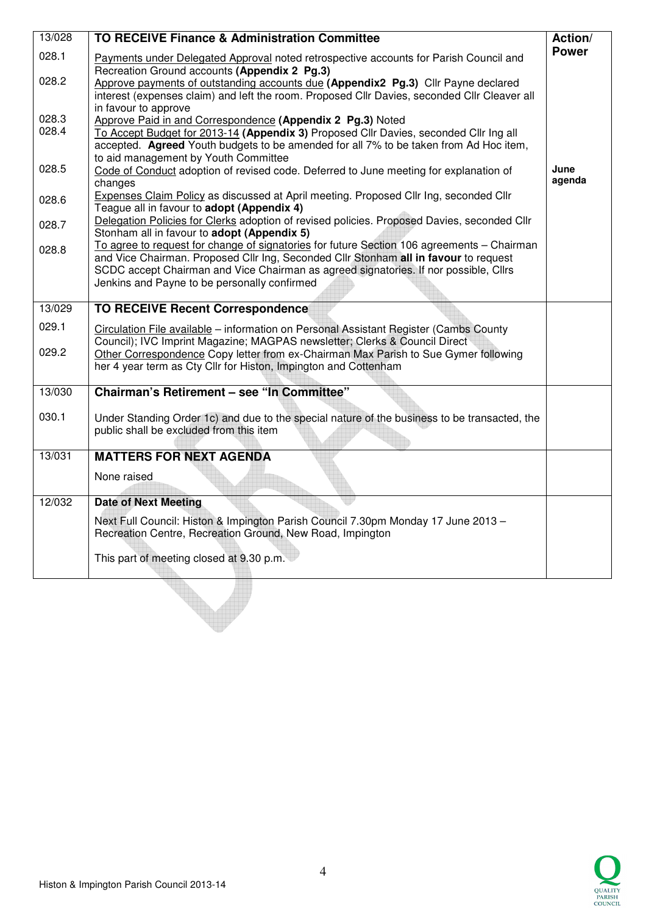| 13/028 | <b>TO RECEIVE Finance &amp; Administration Committee</b>                                                                                               | Action/        |
|--------|--------------------------------------------------------------------------------------------------------------------------------------------------------|----------------|
| 028.1  | Payments under Delegated Approval noted retrospective accounts for Parish Council and                                                                  | <b>Power</b>   |
| 028.2  | Recreation Ground accounts (Appendix 2 Pg.3)<br>Approve payments of outstanding accounts due (Appendix2 Pg.3) Cllr Payne declared                      |                |
|        | interest (expenses claim) and left the room. Proposed Cllr Davies, seconded Cllr Cleaver all                                                           |                |
| 028.3  | in favour to approve                                                                                                                                   |                |
| 028.4  | Approve Paid in and Correspondence (Appendix 2 Pg.3) Noted<br>To Accept Budget for 2013-14 (Appendix 3) Proposed Cllr Davies, seconded Cllr Ing all    |                |
|        | accepted. Agreed Youth budgets to be amended for all 7% to be taken from Ad Hoc item,                                                                  |                |
|        | to aid management by Youth Committee                                                                                                                   |                |
| 028.5  | Code of Conduct adoption of revised code. Deferred to June meeting for explanation of<br>changes                                                       | June<br>agenda |
| 028.6  | <b>Expenses Claim Policy as discussed at April meeting. Proposed Cllr Ing, seconded Cllr</b>                                                           |                |
|        | Teague all in favour to adopt (Appendix 4)                                                                                                             |                |
| 028.7  | Delegation Policies for Clerks adoption of revised policies. Proposed Davies, seconded Cllr<br>Stonham all in favour to adopt (Appendix 5)             |                |
| 028.8  | To agree to request for change of signatories for future Section 106 agreements - Chairman                                                             |                |
|        | and Vice Chairman. Proposed Cllr Ing, Seconded Cllr Stonham all in favour to request                                                                   |                |
|        | SCDC accept Chairman and Vice Chairman as agreed signatories. If nor possible, Cllrs<br>Jenkins and Payne to be personally confirmed                   |                |
|        |                                                                                                                                                        |                |
| 13/029 | <b>TO RECEIVE Recent Correspondence</b>                                                                                                                |                |
| 029.1  | Circulation File available – information on Personal Assistant Register (Cambs County                                                                  |                |
| 029.2  | Council); IVC Imprint Magazine; MAGPAS newsletter; Clerks & Council Direct                                                                             |                |
|        | Other Correspondence Copy letter from ex-Chairman Max Parish to Sue Gymer following<br>her 4 year term as Cty Cllr for Histon, Impington and Cottenham |                |
|        |                                                                                                                                                        |                |
| 13/030 | Chairman's Retirement - see "In Committee"                                                                                                             |                |
| 030.1  | Under Standing Order 1c) and due to the special nature of the business to be transacted, the                                                           |                |
|        | public shall be excluded from this item                                                                                                                |                |
| 13/031 | <b>MATTERS FOR NEXT AGENDA</b>                                                                                                                         |                |
|        |                                                                                                                                                        |                |
|        | None raised                                                                                                                                            |                |
| 12/032 | <b>Date of Next Meeting</b>                                                                                                                            |                |
|        | Next Full Council: Histon & Impington Parish Council 7.30pm Monday 17 June 2013 -                                                                      |                |
|        | Recreation Centre, Recreation Ground, New Road, Impington                                                                                              |                |
|        | This part of meeting closed at 9.30 p.m.                                                                                                               |                |
|        |                                                                                                                                                        |                |
|        |                                                                                                                                                        |                |
|        |                                                                                                                                                        |                |
|        |                                                                                                                                                        |                |
|        |                                                                                                                                                        |                |